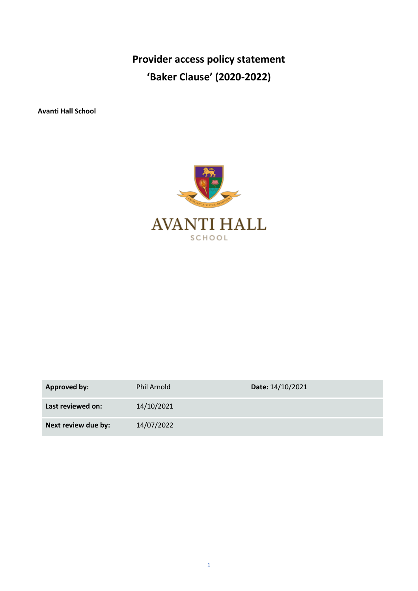**Provider access policy statement 'Baker Clause' (2020-2022)**

**Avanti Hall School**



| <b>Approved by:</b> | <b>Phil Arnold</b> | Date: 14/10/2021 |
|---------------------|--------------------|------------------|
| Last reviewed on:   | 14/10/2021         |                  |
| Next review due by: | 14/07/2022         |                  |

1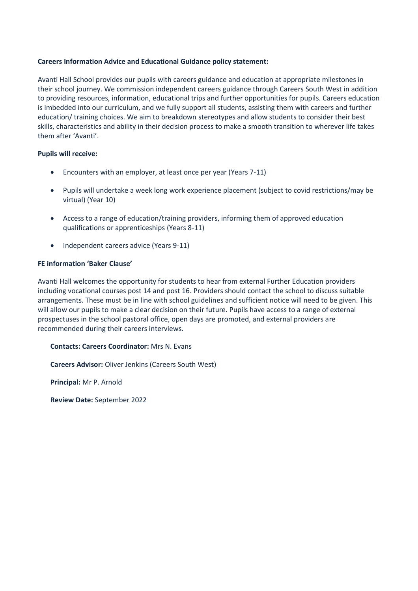### **Careers Information Advice and Educational Guidance policy statement:**

Avanti Hall School provides our pupils with careers guidance and education at appropriate milestones in their school journey. We commission independent careers guidance through Careers South West in addition to providing resources, information, educational trips and further opportunities for pupils. Careers education is imbedded into our curriculum, and we fully support all students, assisting them with careers and further education/ training choices. We aim to breakdown stereotypes and allow students to consider their best skills, characteristics and ability in their decision process to make a smooth transition to wherever life takes them after 'Avanti'.

#### **Pupils will receive:**

- Encounters with an employer, at least once per year (Years 7-11)
- Pupils will undertake a week long work experience placement (subject to covid restrictions/may be virtual) (Year 10)
- Access to a range of education/training providers, informing them of approved education qualifications or apprenticeships (Years 8-11)
- Independent careers advice (Years 9-11)

# **FE information 'Baker Clause'**

Avanti Hall welcomes the opportunity for students to hear from external Further Education providers including vocational courses post 14 and post 16. Providers should contact the school to discuss suitable arrangements. These must be in line with school guidelines and sufficient notice will need to be given. This will allow our pupils to make a clear decision on their future. Pupils have access to a range of external prospectuses in the school pastoral office, open days are promoted, and external providers are recommended during their careers interviews.

**Contacts: Careers Coordinator:** Mrs N. Evans

**Careers Advisor:** Oliver Jenkins (Careers South West)

**Principal:** Mr P. Arnold

**Review Date:** September 2022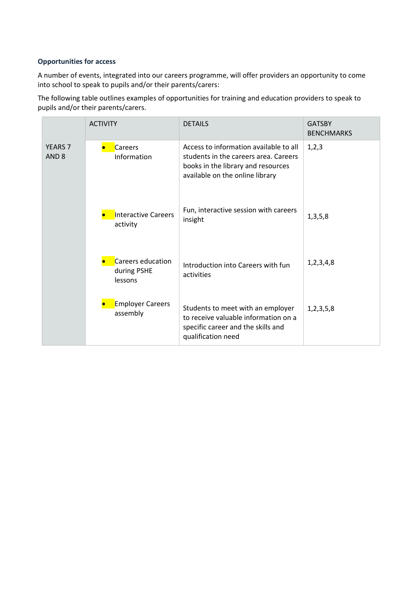# **Opportunities for access**

A number of events, integrated into our careers programme, will offer providers an opportunity to come into school to speak to pupils and/or their parents/carers:

The following table outlines examples of opportunities for training and education providers to speak to pupils and/or their parents/carers.

|                                    | <b>ACTIVITY</b>                             | <b>DETAILS</b>                                                                                                                                           | <b>GATSBY</b><br><b>BENCHMARKS</b> |
|------------------------------------|---------------------------------------------|----------------------------------------------------------------------------------------------------------------------------------------------------------|------------------------------------|
| <b>YEARS 7</b><br>AND <sub>8</sub> | Careers<br>Information                      | Access to information available to all<br>students in the careers area. Careers<br>books in the library and resources<br>available on the online library | 1,2,3                              |
|                                    | <b>Interactive Careers</b><br>activity      | Fun, interactive session with careers<br>insight                                                                                                         | 1,3,5,8                            |
|                                    | Careers education<br>during PSHE<br>lessons | Introduction into Careers with fun<br>activities                                                                                                         | 1, 2, 3, 4, 8                      |
|                                    | <b>Employer Careers</b><br>assembly         | Students to meet with an employer<br>to receive valuable information on a<br>specific career and the skills and<br>qualification need                    | 1,2,3,5,8                          |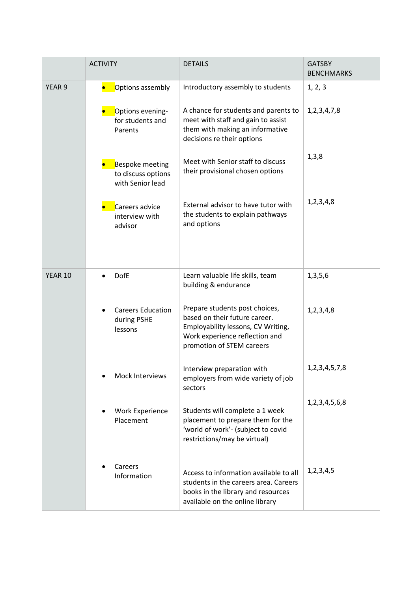|                   | <b>ACTIVITY</b>                                                  | <b>DETAILS</b>                                                                                                                                                       | <b>GATSBY</b><br><b>BENCHMARKS</b> |
|-------------------|------------------------------------------------------------------|----------------------------------------------------------------------------------------------------------------------------------------------------------------------|------------------------------------|
| YEAR <sub>9</sub> | Options assembly                                                 | Introductory assembly to students                                                                                                                                    | 1, 2, 3                            |
|                   | Options evening-<br>for students and<br>Parents                  | A chance for students and parents to<br>meet with staff and gain to assist<br>them with making an informative<br>decisions re their options                          | 1, 2, 3, 4, 7, 8                   |
|                   | <b>Bespoke meeting</b><br>to discuss options<br>with Senior lead | Meet with Senior staff to discuss<br>their provisional chosen options                                                                                                | 1,3,8                              |
|                   | Careers advice<br>interview with<br>advisor                      | External advisor to have tutor with<br>the students to explain pathways<br>and options                                                                               | 1,2,3,4,8                          |
| <b>YEAR 10</b>    | <b>DofE</b>                                                      | Learn valuable life skills, team<br>building & endurance                                                                                                             | 1,3,5,6                            |
|                   | <b>Careers Education</b><br>during PSHE<br>lessons               | Prepare students post choices,<br>based on their future career.<br>Employability lessons, CV Writing,<br>Work experience reflection and<br>promotion of STEM careers | 1,2,3,4,8                          |
|                   | Mock Interviews                                                  | Interview preparation with<br>employers from wide variety of job<br>sectors                                                                                          | 1, 2, 3, 4, 5, 7, 8                |
|                   | <b>Work Experience</b><br>Placement                              | Students will complete a 1 week<br>placement to prepare them for the<br>'world of work'- (subject to covid<br>restrictions/may be virtual)                           | 1,2,3,4,5,6,8                      |
|                   | Careers<br>Information                                           | Access to information available to all<br>students in the careers area. Careers<br>books in the library and resources<br>available on the online library             | 1,2,3,4,5                          |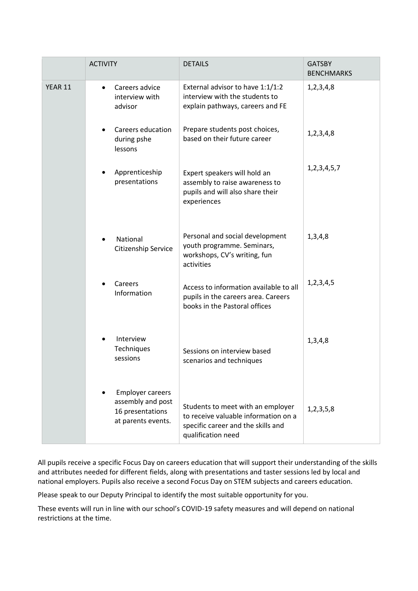|         | <b>ACTIVITY</b>                                                                        | <b>DETAILS</b>                                                                                                                        | <b>GATSBY</b><br><b>BENCHMARKS</b> |
|---------|----------------------------------------------------------------------------------------|---------------------------------------------------------------------------------------------------------------------------------------|------------------------------------|
| YEAR 11 | Careers advice<br>$\bullet$<br>interview with<br>advisor                               | External advisor to have 1:1/1:2<br>interview with the students to<br>explain pathways, careers and FE                                | 1,2,3,4,8                          |
|         | Careers education<br>during pshe<br>lessons                                            | Prepare students post choices,<br>based on their future career                                                                        | 1,2,3,4,8                          |
|         | Apprenticeship<br>presentations                                                        | Expert speakers will hold an<br>assembly to raise awareness to<br>pupils and will also share their<br>experiences                     | 1, 2, 3, 4, 5, 7                   |
|         | National<br>Citizenship Service                                                        | Personal and social development<br>youth programme. Seminars,<br>workshops, CV's writing, fun<br>activities                           | 1,3,4,8                            |
|         | Careers<br>Information                                                                 | Access to information available to all<br>pupils in the careers area. Careers<br>books in the Pastoral offices                        | 1,2,3,4,5                          |
|         | Interview<br>Techniques<br>sessions                                                    | Sessions on interview based<br>scenarios and techniques                                                                               | 1,3,4,8                            |
|         | <b>Employer careers</b><br>assembly and post<br>16 presentations<br>at parents events. | Students to meet with an employer<br>to receive valuable information on a<br>specific career and the skills and<br>qualification need | 1,2,3,5,8                          |

All pupils receive a specific Focus Day on careers education that will support their understanding of the skills and attributes needed for different fields, along with presentations and taster sessions led by local and national employers. Pupils also receive a second Focus Day on STEM subjects and careers education.

Please speak to our Deputy Principal to identify the most suitable opportunity for you.

These events will run in line with our school's COVID-19 safety measures and will depend on national restrictions at the time.